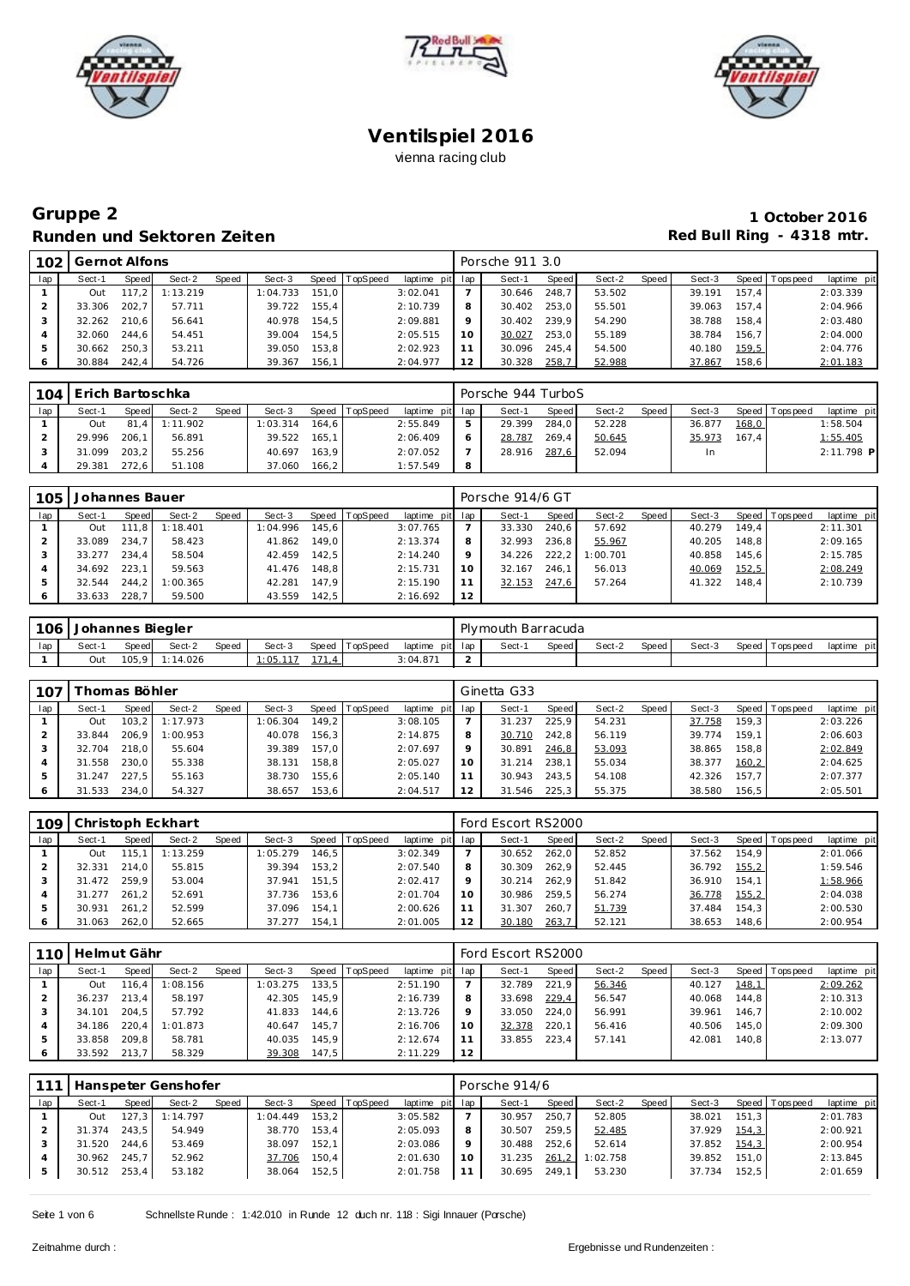





| 102 | Gernot Alfons |       |          |       |          |       |          |                 |         | Porsche 911 3.0 |       |        |       |        |        |                 |             |
|-----|---------------|-------|----------|-------|----------|-------|----------|-----------------|---------|-----------------|-------|--------|-------|--------|--------|-----------------|-------------|
| lap | Sect-1        | Speed | Sect-2   | Speed | Sect-3   | Speed | TopSpeed | laptime pit lap |         | Sect-1          | Speed | Sect-2 | Speed | Sect-3 |        | Speed Tops peed | laptime pit |
|     | Out           | 117.2 | 1:13.219 |       | : 04.733 | 151.0 |          | 3:02.041        |         | 30.646          | 248.7 | 53.502 |       | 39.191 | 157.4  |                 | 2:03.339    |
|     | 33.306        | 202.7 | 57.711   |       | 39.722   | 155.4 |          | 2:10.739        |         | 30.402          | 253.0 | 55.501 |       | 39.063 | 157.4  |                 | 2:04.966    |
|     | 32.262        | 210,6 | 56.641   |       | 40.978   | 154.5 |          | 2:09.881        | $\circ$ | 30.402          | 239.9 | 54.290 |       | 38.788 | 158.4  |                 | 2:03.480    |
|     | 32.060        | 244.6 | 54.451   |       | 39.004   | 154.5 |          | 2:05.515        | 10      | 30.027          | 253.0 | 55.189 |       | 38.784 | 156.7. |                 | 2:04.000    |
| 5   | 30.662        | 250.3 | 53.211   |       | 39.050   | 153.8 |          | 2:02.923        |         | 30.096          | 245.4 | 54.500 |       | 40.180 | 159,5  |                 | 2:04.776    |
|     | 30.884        | 242,4 | 54.726   |       | 39.367   | 156,1 |          | 2:04.977        | 12      | 30.328          | 258.7 | 52.988 |       | 37.867 | 158,6  |                 | 2:01.183    |

| 104 | Erich Bartoschka |       |               |       |          |       |                |                 |   | Porsche 944 TurboS |         |        |       |        |       |                 |             |
|-----|------------------|-------|---------------|-------|----------|-------|----------------|-----------------|---|--------------------|---------|--------|-------|--------|-------|-----------------|-------------|
| lap | Sect-1           | Speed | Sect-2        | Speed | Sect-3   |       | Speed TopSpeed | laptime pit lap |   | Sect-1             | Speed I | Sect-2 | Speed | Sect-3 |       | Speed Tops peed | laptime pit |
|     | Out              |       | 81.4 1:11.902 |       | 1:03.314 | 164.6 |                | 2:55.849        | 5 | 29.399             | 284.0   | 52.228 |       | 36.877 | 168,0 |                 | 1:58.504    |
|     | 29.996           | 206.1 | 56.891        |       | 39.522   | 165.1 |                | 2:06.409        | 6 | 28.787             | 269,4   | 50.645 |       | 35.973 | 167.4 |                 | 1:55.405    |
|     | 31.099           | 203.2 | 55.256        |       | 40.697   | 163.9 |                | 2:07.052        |   | 28.916             | 287,6   | 52.094 |       | In     |       |                 | 2:11.798 P  |
|     | 29.381           | 272.6 | 51.108        |       | 37.060   | 166.2 |                | 1:57.549        | 8 |                    |         |        |       |        |       |                 |             |

| 105     |        | Johannes Bauer |          |       |          |       |                |                 |         | Porsche 914/6 GT |       |          |       |        |       |                 |             |
|---------|--------|----------------|----------|-------|----------|-------|----------------|-----------------|---------|------------------|-------|----------|-------|--------|-------|-----------------|-------------|
| lap     | Sect-1 | Speed          | Sect-2   | Speed | Sect-3   |       | Speed TopSpeed | laptime pit lap |         | Sect-1           | Speed | Sect-2   | Speed | Sect-3 |       | Speed Tops peed | laptime pit |
|         | Out    | 111<br>.81     | 1:18.401 |       | 1:04.996 | 145.6 |                | 3:07.765        |         | 33.330           | 240.6 | 57.692   |       | 40.279 | 149.4 |                 | 2:11.301    |
|         | 33.089 | 234.7          | 58.423   |       | 41.862   | 149.0 |                | 2:13.374        | 8       | 32.993           | 236.8 | 55.967   |       | 40.205 | 148.8 |                 | 2:09.165    |
| - 3     | 33.277 | 234.4          | 58.504   |       | 42.459   | 142.5 |                | 2:14.240        | $\circ$ | 34.226           | 222.2 | 1:00.701 |       | 40.858 | 145.6 |                 | 2:15.785    |
| 4       | 34.692 | 223.1          | 59.563   |       | 41.476   | 148.8 |                | 2:15.731        | 10      | 32.167           | 246.1 | 56.013   |       | 40.069 | 152,5 |                 | 2:08.249    |
| 5       | 32.544 | 244.2          | 1:00.365 |       | 42.281   | 147.9 |                | 2:15.190        |         | 32.153           | 247,6 | 57.264   |       | 41.322 | 148.4 |                 | 2:10.739    |
| $\circ$ | 33.633 | 228.7          | 59.500   |       | 43.559   | 142,5 |                | 2:16.692        | 12      |                  |       |          |       |        |       |                 |             |

|     | 106 Johannes Biegler |              |                |       |          |       |                |                 | Plymouth Barracuda |         |        |         |        |                 |             |
|-----|----------------------|--------------|----------------|-------|----------|-------|----------------|-----------------|--------------------|---------|--------|---------|--------|-----------------|-------------|
| lap | Sect-1               | <b>Speed</b> | Sect-2         | Speed | Sect-3   |       | Speed TopSpeed | laptime pit lap | Sect-1             | Speed I | Sect-2 | Speed I | Sect-3 | Speed Tops peed | laptime pit |
|     | Out                  |              | 105.9 1:14.026 |       | 1:05.117 | 171.4 |                | 3:04.871        |                    |         |        |         |        |                 |             |

| 107 |        | homas Böhler |          |       |          |       |          |                 |         | Ginetta G33 |       |        |       |        |        |                |             |
|-----|--------|--------------|----------|-------|----------|-------|----------|-----------------|---------|-------------|-------|--------|-------|--------|--------|----------------|-------------|
| lap | Sect-1 | Speed        | Sect-2   | Speed | Sect-3   | Speed | TopSpeed | laptime pit lap |         | Sect-1      | Speed | Sect-2 | Speed | Sect-3 |        | Speed Topspeed | laptime pit |
|     | Out    | 103.2        | 1:17.973 |       | 1:06.304 | 149.2 |          | 3:08.105        |         | 31.237      | 225.9 | 54.231 |       | 37.758 | 159.3  |                | 2:03.226    |
|     | 33.844 | 206.9        | 1:00.953 |       | 40.078   | 156.3 |          | 2:14.875        |         | 30.710      | 242.8 | 56.119 |       | 39.774 | 159.1  |                | 2:06.603    |
|     | 32.704 | 218.0        | 55.604   |       | 39.389   | 157.0 |          | 2:07.697        | $\circ$ | 30.891      | 246,8 | 53.093 |       | 38.865 | 158.8  |                | 2:02.849    |
|     | 31.558 | 230.0        | 55.338   |       | 38.131   | 158.8 |          | 2:05.027        | 10      | 31.214      | 238.1 | 55.034 |       | 38.377 | 160, 2 |                | 2:04.625    |
|     | 31.247 | 227.5        | 55.163   |       | 38.730   | 155.6 |          | 2:05.140        |         | 30.943      | 243,5 | 54.108 |       | 42.326 | 157.7  |                | 2:07.377    |
|     | 31.533 | 234.0        | 54.327   |       | 38.657   | 153.6 |          | 2:04.517        |         | 31.546      | 225,3 | 55.375 |       | 38.580 | 156.5  |                | 2:05.501    |

| 109 |        |       | Christoph Eckhart |       |          |       |          |             |         | Ford Escort RS2000 |       |        |         |        |       |                 |             |
|-----|--------|-------|-------------------|-------|----------|-------|----------|-------------|---------|--------------------|-------|--------|---------|--------|-------|-----------------|-------------|
| lap | Sect-1 | Speed | Sect-2            | Speed | Sect-3   | Speed | TopSpeed | laptime pit | lap     | Sect-1             | Speed | Sect-2 | Speed ' | Sect-3 |       | Speed Tops peed | laptime pit |
|     | Out    | 115.  | 1:13.259          |       | 1:05.279 | 146.5 |          | 3:02.349    |         | 30.652             | 262.0 | 52.852 |         | 37.562 | 154.9 |                 | 2:01.066    |
|     | 32.331 | 214.0 | 55.815            |       | 39.394   | 153.2 |          | 2:07.540    | 8       | 30.309             | 262.9 | 52.445 |         | 36.792 | 155,2 |                 | 1:59.546    |
|     | 31.472 | 259.9 | 53.004            |       | 37.941   | 151.5 |          | 2:02.417    | $\circ$ | 30.214             | 262.9 | 51.842 |         | 36.910 | 154.1 |                 | 1:58.966    |
|     | 31.277 | 261.2 | 52.691            |       | 37.736   | 153.6 |          | 2:01.704    | 10      | 30.986             | 259,5 | 56.274 |         | 36.778 | 155,2 |                 | 2:04.038    |
|     | 30.931 | 261.2 | 52.599            |       | 37.096   | 154.1 |          | 2:00.626    |         | 31.307             | 260.7 | 51.739 |         | 37.484 | 154.3 |                 | 2:00.530    |
|     | 31.063 | 262.0 | 52.665            |       | 37.277   | 154,1 |          | 2:01.005    | 12      | 30.180             | 263,7 | 52.121 |         | 38.653 | 148,6 |                 | 2:00.954    |

| 110 | Helmut Gähr |       |          |       |          |       |                 |             |     | Ford Escort RS2000 |       |        |       |        |       |                |             |
|-----|-------------|-------|----------|-------|----------|-------|-----------------|-------------|-----|--------------------|-------|--------|-------|--------|-------|----------------|-------------|
| lap | Sect-1      | Speed | Sect-2   | Speed | Sect-3   | Speed | <b>TopSpeed</b> | laptime pit | lap | Sect-1             | Speed | Sect-2 | Speed | Sect-3 |       | Speed Topspeed | laptime pit |
|     | Out         | 116.4 | 1:08.156 |       | 1:03.275 | 133.5 |                 | 2:51.190    |     | 32.789             | 221.9 | 56.346 |       | 40.127 | 148,1 |                | 2:09.262    |
|     | 36.237      | 213.4 | 58.197   |       | 42.305   | 145.9 |                 | 2:16.739    | 8   | 33.698             | 229,4 | 56.547 |       | 40.068 | 144.8 |                | 2:10.313    |
|     | 34.101      | 204.5 | 57.792   |       | 41.833   | 144.6 |                 | 2:13.726    | Q   | 33.050             | 224.0 | 56.991 |       | 39.961 | 146.7 |                | 2:10.002    |
|     | 34.186      | 220.4 | 1:01.873 |       | 40.647   | 145.7 |                 | 2:16.706    | 10  | 32.378             | 220.1 | 56.416 |       | 40.506 | 145.0 |                | 2:09.300    |
|     | 33.858      | 209.8 | 58.781   |       | 40.035   | 145.9 |                 | 2:12.674    |     | 33.855             | 223.4 | 57.141 |       | 42.081 | 140.8 |                | 2:13.077    |
|     | 33.592      | 213.7 | 58.329   |       | 39.308   | 147.5 |                 | 2:11.229    | 12  |                    |       |        |       |        |       |                |             |

|     |        |                  | Hanspeter Genshofer |       |          |       |                |                 | Porsche 914/6 |       |          |       |        |       |                 |             |
|-----|--------|------------------|---------------------|-------|----------|-------|----------------|-----------------|---------------|-------|----------|-------|--------|-------|-----------------|-------------|
| lap | Sect-1 | Speed            | Sect-2              | Speed | Sect-3   |       | Speed TopSpeed | laptime pit lap | Sect-1        | Speed | Sect-2   | Speed | Sect-3 |       | Speed Tops peed | laptime pit |
|     | Out    | $127.3 \text{ }$ | 1:14.797            |       | 1:04.449 | 153.2 |                | 3:05.582        | 30.957        | 250.7 | 52.805   |       | 38.021 | 151.3 |                 | 2:01.783    |
|     | 31.374 | 243.5            | 54.949              |       | 38.770   | 153.4 |                | 2:05.093        | 30.507        | 259.5 | 52.485   |       | 37.929 | 154,3 |                 | 2:00.921    |
|     | 31.520 | 244.6            | 53.469              |       | 38.097   | 152.1 |                | 2:03.086        | 30.488        | 252.6 | 52.614   |       | 37.852 | 154,3 |                 | 2:00.954    |
|     | 30.962 | 245.7            | 52.962              |       | 37.706   | 150.4 |                | 2:01.630        | 31.235        | 261,2 | 1:02.758 |       | 39.852 | 151.0 |                 | 2:13.845    |
|     | 30.512 | 253,4            | 53.182              |       | 38.064   | 152,5 |                | 2:01.758        | 30.695        | 249,1 | 53.230   |       | 37.734 | 152,5 |                 | 2:01.659    |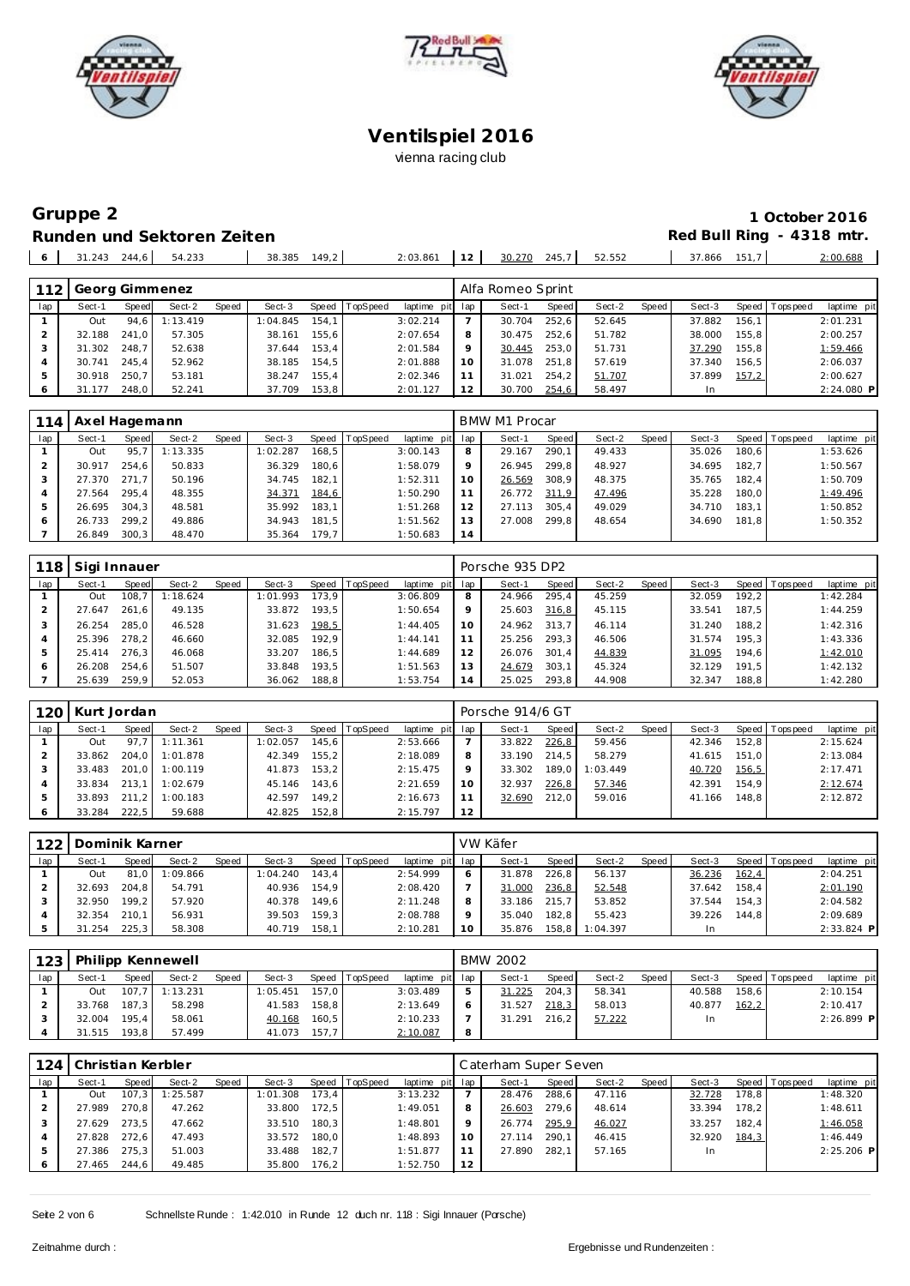





| 149.2<br>245<br>38.385<br>$-0$ $-$<br>00.688<br>$\sim$<br>03.861<br>243<br>-<br>37.866<br>- 777<br>-211<br>52.55Z<br>24 A<br>54.233<br>11.7.7 |  |  |  |  |  |  |
|-----------------------------------------------------------------------------------------------------------------------------------------------|--|--|--|--|--|--|
|                                                                                                                                               |  |  |  |  |  |  |

| 112 |        |       | Georg Gimmenez |       |          |       |                 |                 |    | Alfa Romeo Sprint |       |        |       |        |       |                 |             |
|-----|--------|-------|----------------|-------|----------|-------|-----------------|-----------------|----|-------------------|-------|--------|-------|--------|-------|-----------------|-------------|
| lap | Sect-1 | Speed | Sect-2         | Speed | Sect-3   | Speed | <b>TopSpeed</b> | laptime pit lap |    | Sect-1            | Speed | Sect-2 | Speed | Sect-3 |       | Speed Tops peed | laptime pit |
|     | Out    | 94.6  | 1:13.419       |       | 1:04.845 | 154.1 |                 | 3:02.214        |    | 30.704            | 252.6 | 52.645 |       | 37.882 | 156.1 |                 | 2:01.231    |
|     | 32.188 | 241.0 | 57.305         |       | 38.161   | 155.6 |                 | 2:07.654        |    | 30.475            | 252.6 | 51.782 |       | 38,000 | 155.8 |                 | 2:00.257    |
|     | 31.302 | 248.7 | 52.638         |       | 37.644   | 153.4 |                 | 2:01.584        |    | 30.445            | 253,0 | 51.731 |       | 37.290 | 155.8 |                 | 1:59.466    |
|     | 30.741 | 245.4 | 52.962         |       | 38.185   | 154.5 |                 | 2:01.888        | 10 | 31.078            | 251.8 | 57.619 |       | 37.340 | 156.5 |                 | 2:06.037    |
|     | 30.918 | 250.7 | 53.181         |       | 38.247   | 155.4 |                 | 2:02.346        |    | 31.021            | 254,2 | 51.707 |       | 37.899 | 157,2 |                 | 2:00.627    |
|     | 31.177 | 248.0 | 52.241         |       | 37.709   | 153,8 |                 | 2:01.127        |    | 30.700            | 254,6 | 58.497 |       |        |       |                 | 2:24.080 P  |

| 114 | Axel Hagemann |       |          |       |          |       |                |             |     | BMW M1 Procar |       |        |       |        |       |                |             |
|-----|---------------|-------|----------|-------|----------|-------|----------------|-------------|-----|---------------|-------|--------|-------|--------|-------|----------------|-------------|
| lap | Sect-1        | Speed | Sect-2   | Speed | Sect-3   |       | Speed TopSpeed | laptime pit | lap | Sect-1        | Speed | Sect-2 | Speed | Sect-3 |       | Speed Topspeed | laptime pit |
|     | Out           | 95.7  | 1:13.335 |       | 1:02.287 | 168.5 |                | 3:00.143    | 8   | 29.167        | 290.1 | 49.433 |       | 35.026 | 180.6 |                | 1:53.626    |
|     | 30.917        | 254.6 | 50.833   |       | 36.329   | 180.6 |                | 1:58.079    | 9   | 26.945        | 299.8 | 48.927 |       | 34.695 | 182.7 |                | 1:50.567    |
|     | 27.370        | 271.7 | 50.196   |       | 34.745   | 182.1 |                | 1:52.311    | 10  | 26.569        | 308,9 | 48.375 |       | 35.765 | 182.4 |                | 1:50.709    |
|     | 27.564        | 295.4 | 48.355   |       | 34.371   | 184,6 |                | 1:50.290    | 11  | 26.772        | 311,9 | 47.496 |       | 35.228 | 180.0 |                | 1:49.496    |
|     | 26.695        | 304.3 | 48.581   |       | 35.992   | 183.1 |                | 1:51.268    | 12  | 27.113        | 305.4 | 49.029 |       | 34.710 | 183,1 |                | 1:50.852    |
| 6   | 26.733        | 299.2 | 49.886   |       | 34.943   | 181.5 |                | 1:51.562    | 13  | 27.008        | 299.8 | 48.654 |       | 34.690 | 181.8 |                | 1:50.352    |
|     | 26.849        | 300.3 | 48.470   |       | 35.364   | 179.7 |                | 1:50.683    | 14  |               |       |        |       |        |       |                |             |

| 118 | Sigi Innauer |       |          |       |          |         |          |             |                | Porsche 935 DP2 |       |        |       |        |       |                 |             |
|-----|--------------|-------|----------|-------|----------|---------|----------|-------------|----------------|-----------------|-------|--------|-------|--------|-------|-----------------|-------------|
| lap | Sect-1       | Speed | Sect-2   | Speed | Sect-3   | Speed I | TopSpeed | laptime pit | lap            | Sect-1          | Speed | Sect-2 | Speed | Sect-3 |       | Speed Tops peed | laptime pit |
|     | Out          | 108   | 1:18.624 |       | 1:01.993 | 173.9   |          | 3:06.809    | 8              | 24.966          | 295,4 | 45.259 |       | 32.059 | 192.2 |                 | 1:42.284    |
|     | 27.647       | 261.6 | 49.135   |       | 33.872   | 193.5   |          | 1:50.654    | 9              | 25.603          | 316,8 | 45.115 |       | 33.541 | 187.5 |                 | 1:44.259    |
|     | 26.254       | 285.0 | 46.528   |       | 31.623   | 198,5   |          | 1:44.405    | 10             | 24.962          | 313.7 | 46.114 |       | 31.240 | 188.2 |                 | 1:42.316    |
|     | 25.396       | 278.2 | 46.660   |       | 32.085   | 192.9   |          | 1:44.141    |                | 25.256          | 293,3 | 46.506 |       | 31.574 | 195,3 |                 | 1:43.336    |
|     | 25.414       | 276.3 | 46.068   |       | 33.207   | 186.5   |          | 1:44.689    | $\overline{2}$ | 26.076          | 301.4 | 44.839 |       | 31.095 | 194,6 |                 | 1:42.010    |
| 6   | 26.208       | 254.6 | 51.507   |       | 33.848   | 193.5   |          | 1:51.563    | 13             | 24.679          | 303,1 | 45.324 |       | 32.129 | 191.5 |                 | 1:42.132    |
|     | 25.639       | 259.9 | 52.053   |       | 36.062   | 188,8   |          | 1:53.754    | i 4            | 25.025          | 293,8 | 44.908 |       | 32.347 | 188,8 |                 | 1:42.280    |

| 120 | l Kurt Jordan |       |          |       |          |       |                |                 |    | Porsche 914/6 GT |       |          |       |        |       |                   |             |
|-----|---------------|-------|----------|-------|----------|-------|----------------|-----------------|----|------------------|-------|----------|-------|--------|-------|-------------------|-------------|
| lap | Sect-1        | Speed | Sect-2   | Speed | Sect-3   |       | Speed TopSpeed | laptime pit lap |    | Sect-1           | Speed | Sect-2   | Speed | Sect-3 |       | Speed   Tops peed | laptime pit |
|     | Out           | 97.7  | 1:11.361 |       | 1:02.057 | 145.6 |                | 2:53.666        |    | 33.822           | 226,8 | 59.456   |       | 42.346 | 152.8 |                   | 2:15.624    |
|     | 33.862        | 204.0 | 1:01.878 |       | 42.349   | 155.2 |                | 2:18.089        | 8  | 33.190           | 214.5 | 58.279   |       | 41.615 | 151.0 |                   | 2:13.084    |
|     | 33.483        | 201.0 | 1:00.119 |       | 41.873   | 153.2 |                | 2:15.475        |    | 33.302           | 189.0 | 1:03.449 |       | 40.720 | 156,5 |                   | 2:17.471    |
|     | 33.834        | 213.1 | 1:02.679 |       | 45.146   | 143.6 |                | 2:21.659        | 10 | 32.937           | 226,8 | 57.346   |       | 42.391 | 154.9 |                   | 2:12.674    |
|     | 33.893        | 211.2 | 1:00.183 |       | 42.597   | 149.2 |                | 2:16.673        |    | 32.690           | 212.0 | 59.016   |       | 41.166 | 148.8 |                   | 2:12.872    |
|     | 33.284        | 222,5 | 59.688   |       | 42.825   | 152,8 |                | 2:15.797        | 12 |                  |       |          |       |        |       |                   |             |

| 122 | Dominik Karner |       |          |       |          |       |          |                 | VW Käfer |         |          |       |        |       |                 |              |
|-----|----------------|-------|----------|-------|----------|-------|----------|-----------------|----------|---------|----------|-------|--------|-------|-----------------|--------------|
| lap | Sect-1         | Speed | Sect-2   | Speed | Sect-3   | Speed | TopSpeed | laptime pit lap | Sect-1   | Speed I | Sect-2   | Speed | Sect-3 |       | Speed Tops peed | laptime pit  |
|     | Out            | 81.0  | 1:09.866 |       | 1:04.240 | 143.4 |          | 2:54.999        | 31.878   | 226.8   | 56.137   |       | 36.236 | 162,4 |                 | 2:04.251     |
|     | 32.693         | 204.8 | 54.791   |       | 40.936   | 154.9 |          | 2:08.420        | 31.000   | 236,8   | 52.548   |       | 37.642 | 158.4 |                 | 2:01.190     |
|     | 32.950         | 199.2 | 57.920   |       | 40.378   | 149.6 |          | 2:11.248        | 33.186   | 215.7   | 53.852   |       | 37.544 | 154.3 |                 | 2:04.582     |
|     | 32.354         | 210.1 | 56.931   |       | 39.503   | 159.3 |          | 2:08.788        | 35.040   | 182.8   | 55.423   |       | 39.226 | 144.8 |                 | 2:09.689     |
|     | 31.254         | 225.3 | 58.308   |       | 40.719   | 158,1 |          | 2:10.281        | 35.876   | 158.8   | 1:04.397 |       |        |       |                 | $2:33.824$ P |

| 123 |        |              | Philipp Kennewell |              |          |       |          |                 |   | <b>BMW 2002</b> |       |        |       |        |       |                 |              |
|-----|--------|--------------|-------------------|--------------|----------|-------|----------|-----------------|---|-----------------|-------|--------|-------|--------|-------|-----------------|--------------|
| lap | Sect-1 | <b>Speed</b> | Sect-2            | <b>Speed</b> | Sect-3   | Speed | TopSpeed | laptime pit lap |   | Sect-1          | Speed | Sect-2 | Speed | Sect-3 |       | Speed Tops peed | laptime pit  |
|     | Out    |              | $107.7$ 1:13.231  |              | 1:05.451 | 157.0 |          | 3:03.489        |   | 31.225          | 204.3 | 58.341 |       | 40.588 | 158.6 |                 | 2:10.154     |
|     | 33.768 | 187.3        | 58.298            |              | 41.583   | 158.8 |          | 2:13.649        |   | 31.527          | 218.3 | 58.013 |       | 40.877 | 162,2 |                 | 2:10.417     |
|     | 32.004 | 195.4        | 58.061            |              | 40.168   | 160.5 |          | 2:10.233        |   | 31.291          | 216.2 | 57.222 |       | In     |       |                 | $2:26.899$ P |
|     | 31.515 | 193,8        | 57.499            |              | 41.073   | 157.7 |          | 2:10.087        | 8 |                 |       |        |       |        |       |                 |              |

| 124 | Christian Kerbler |       |          |       |          |       |                |                 |         | Caterham Super Seven |       |        |       |        |       |                 |              |
|-----|-------------------|-------|----------|-------|----------|-------|----------------|-----------------|---------|----------------------|-------|--------|-------|--------|-------|-----------------|--------------|
| lap | Sect-1            | Speed | Sect-2   | Speed | Sect-3   |       | Speed TopSpeed | laptime pit lap |         | Sect-1               | Speed | Sect-2 | Speed | Sect-3 |       | Speed Tops peed | laptime pit  |
|     | Out               | 107.3 | 1:25.587 |       | 1:01.308 | 173.4 |                | 3:13.232        |         | 28.476               | 288,6 | 47.116 |       | 32.728 | 178.8 |                 | 1:48.320     |
|     | 27.989            | 270.8 | 47.262   |       | 33.800   | 172.5 |                | 1:49.051        | 8       | 26.603               | 279.6 | 48.614 |       | 33.394 | 178.2 |                 | 1:48.611     |
|     | 27.629            | 273.5 | 47.662   |       | 33.510   | 180.3 |                | 1:48.801        | $\circ$ | 26.774               | 295,9 | 46.027 |       | 33.257 | 182.4 |                 | 1:46.058     |
|     | 27.828            | 272.6 | 47.493   |       | 33.572   | 180.0 |                | 1:48.893        | 10      | 27.114               | 290.1 | 46.415 |       | 32.920 | 184,3 |                 | 1:46.449     |
|     | 27.386            | 275.3 | 51.003   |       | 33.488   | 182.7 |                | 1:51.877        |         | 27.890               | 282.1 | 57.165 |       | In.    |       |                 | $2:25.206$ P |
|     | 27.465            | 244.6 | 49.485   |       | 35.800   | 176,2 |                | 1:52.750        | 12      |                      |       |        |       |        |       |                 |              |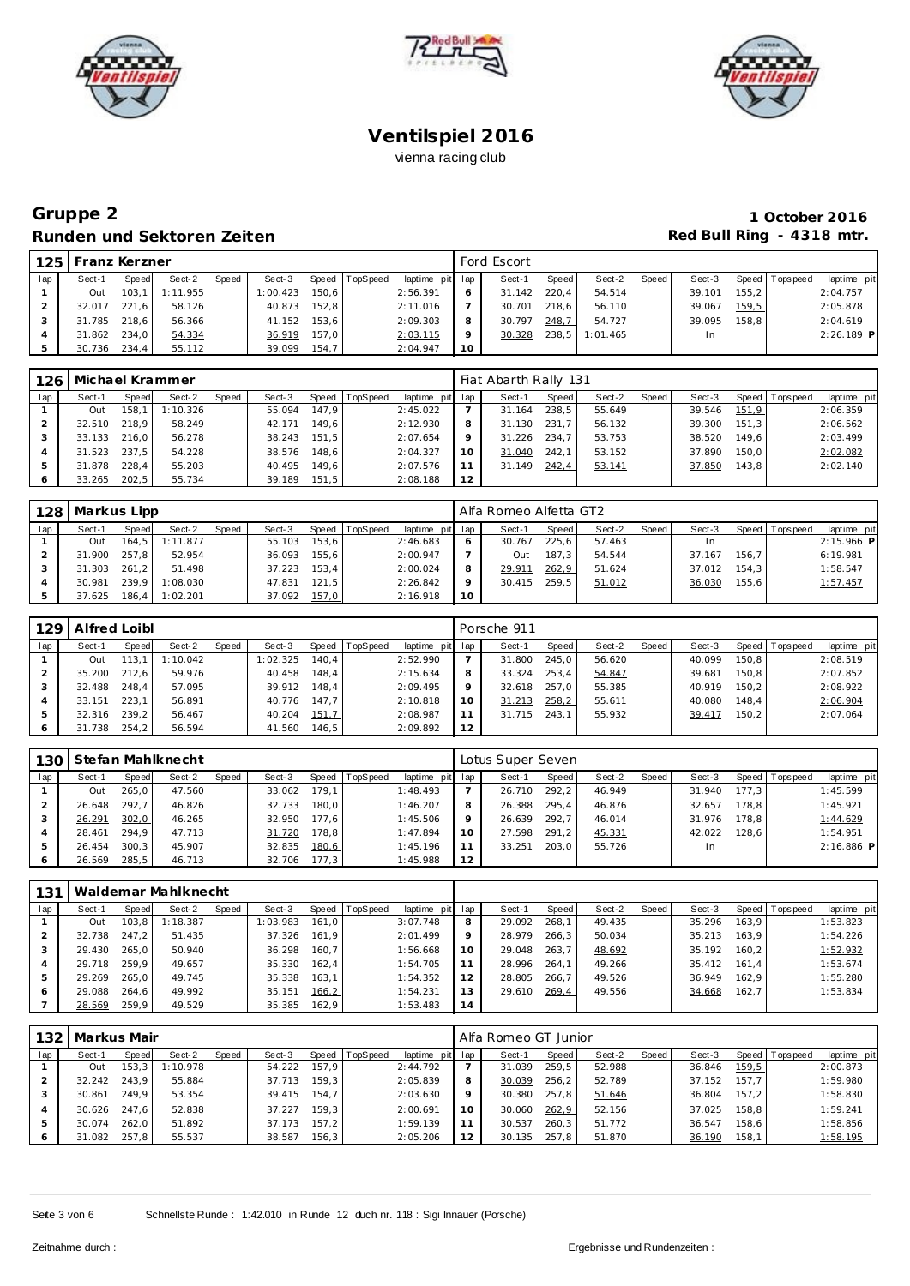





| 125 | Franz Kerzner |       |          |       |          |       |                 |                 |              | Ford Escort |       |          |       |        |       |                 |              |
|-----|---------------|-------|----------|-------|----------|-------|-----------------|-----------------|--------------|-------------|-------|----------|-------|--------|-------|-----------------|--------------|
| lap | Sect-1        | Speed | Sect-2   | Speed | Sect-3   | Speed | <b>TopSpeed</b> | laptime pit lap |              | Sect-1      | Speed | Sect-2   | Speed | Sect-3 |       | Speed Tops peed | laptime pit  |
|     | Out           | 103.1 | 1:11.955 |       | 1:00.423 | 150.6 |                 | 2:56.391        | <sup>6</sup> | 31.142      | 220.4 | 54.514   |       | 39.101 | 155.2 |                 | 2:04.757     |
|     | 32.017        | 221.6 | 58.126   |       | 40.873   | 152.8 |                 | 2:11.016        |              | 30.701      | 218.6 | 56.110   |       | 39.067 | 159,5 |                 | 2:05.878     |
|     | 31.785        | 218.6 | 56.366   |       | 41.152   | 153.6 |                 | 2:09.303        | 8            | 30.797      | 248,7 | 54.727   |       | 39.095 | 158.8 |                 | 2:04.619     |
|     | 31.862        | 234.0 | 54.334   |       | 36.919   | 157.0 |                 | 2:03.115        | $\circ$      | 30.328      | 238.5 | 1:01.465 |       | In     |       |                 | $2:26.189$ P |
|     | 30.736        | 234,4 | 55.112   |       | 39.099   | 154.7 |                 | 2:04.947        | 10           |             |       |          |       |        |       |                 |              |

| 126 |              |         | Michael Krammer |       |        |       |          |                 |                 | Fiat Abarth Rally 131 |       |        |       |        |       |                 |             |
|-----|--------------|---------|-----------------|-------|--------|-------|----------|-----------------|-----------------|-----------------------|-------|--------|-------|--------|-------|-----------------|-------------|
| lap | Sect-1       | Speed   | Sect-2          | Speed | Sect-3 | Speed | TopSpeed | laptime pit lap |                 | Sect-1                | Speed | Sect-2 | Speed | Sect-3 |       | Speed Tops peed | laptime pit |
|     | Out          | 158.1 l | 1:10.326        |       | 55.094 | 147.9 |          | 2:45.022        |                 | 31.164                | 238,5 | 55.649 |       | 39.546 | 151,9 |                 | 2:06.359    |
|     | 32.510 218,9 |         | 58.249          |       | 42.171 | 149.6 |          | 2:12.930        |                 | 31.130                | 231.7 | 56.132 |       | 39.300 | 151.3 |                 | 2:06.562    |
|     | 33.133 216.0 |         | 56.278          |       | 38.243 | 151.5 |          | 2:07.654        |                 | 31.226                | 234.7 | 53.753 |       | 38.520 | 149.6 |                 | 2:03.499    |
|     | 31.523 237.5 |         | 54.228          |       | 38.576 | 148.6 |          | 2:04.327        |                 | 31.040                | 242.1 | 53.152 |       | 37.890 | 150.0 |                 | 2:02.082    |
|     | 31.878       | 228.4   | 55.203          |       | 40.495 | 149.6 |          | 2:07.576        |                 | 31.149                | 242,4 | 53.141 |       | 37.850 | 143.8 |                 | 2:02.140    |
|     | 33.265       | 202,5   | 55.734          |       | 39.189 | 151.5 |          | 2:08.188        | 12 <sub>1</sub> |                       |       |        |       |        |       |                 |             |

| 128 | Markus Lipp |       |          |       |        |         |          |                 |         | Alfa Romeo Alfetta GT2 |              |        |       |        |       |                 |              |
|-----|-------------|-------|----------|-------|--------|---------|----------|-----------------|---------|------------------------|--------------|--------|-------|--------|-------|-----------------|--------------|
| lap | Sect-1      | Speed | Sect-2   | Speed | Sect-3 | Speed I | TopSpeed | laptime pit lap |         | Sect-1                 | <b>Speed</b> | Sect-2 | Speed | Sect-3 |       | Speed Tops peed | laptime pit  |
|     | Out         | 164.5 | 1:11.877 |       | 55.103 | 153.6   |          | 2:46.683        | 6       | 30.767                 | 225.6        | 57.463 |       |        |       |                 | $2:15.966$ P |
|     | 31.900      | 257.8 | 52.954   |       | 36.093 | 155.6   |          | 2:00.947        |         | Out                    | 187.3        | 54.544 |       | 37.167 | 156.7 |                 | 6:19.981     |
|     | 31.303      | 261.2 | 51.498   |       | 37.223 | 153.4   |          | 2:00.024        | 8       | 29.911                 | 262,9        | 51.624 |       | 37.012 | 154.3 |                 | 1:58.547     |
|     | 30.981      | 239.9 | 1:08.030 |       | 47.831 | 121.5   |          | 2:26.842        | $\circ$ | 30.415                 | 259.5        | 51.012 |       | 36.030 | 155.6 |                 | 1:57.457     |
|     | 37.625      | 186.4 | 1:02.201 |       | 37.092 | 157,0   |          | 2:16.918        | 10      |                        |              |        |       |        |       |                 |              |

|     | 129   Alfred Loibl |       |          |       |          |       |                 |                 |         | Porsche 911 |       |        |       |        |       |                |             |
|-----|--------------------|-------|----------|-------|----------|-------|-----------------|-----------------|---------|-------------|-------|--------|-------|--------|-------|----------------|-------------|
| lap | Sect-1             | Speed | Sect-2   | Speed | Sect-3   | Speed | <b>TopSpeed</b> | laptime pit lap |         | Sect-1      | Speed | Sect-2 | Speed | Sect-3 |       | Speed Topspeed | laptime pit |
|     | Out                | 113.1 | 1:10.042 |       | 1:02.325 | 140.4 |                 | 2:52.990        |         | 31.800      | 245.0 | 56.620 |       | 40.099 | 150.8 |                | 2:08.519    |
|     | 35.200             | 212.6 | 59.976   |       | 40.458   | 148.4 |                 | 2:15.634        | 8       | 33.324      | 253.4 | 54.847 |       | 39.681 | 150.8 |                | 2:07.852    |
|     | 32.488             | 248.4 | 57.095   |       | 39.912   | 148.4 |                 | 2:09.495        | $\circ$ | 32.618      | 257,0 | 55.385 |       | 40.919 | 150.2 |                | 2:08.922    |
|     | 33.151             | 223.1 | 56.891   |       | 40.776   | 147.7 |                 | 2:10.818        | 10      | 31.213      | 258,2 | 55.611 |       | 40.080 | 148.4 |                | 2:06.904    |
|     | 32.316             | 239.2 | 56.467   |       | 40.204   | 151,7 |                 | 2:08.987        |         | 31.715      | 243,1 | 55.932 |       | 39.417 | 150.2 |                | 2:07.064    |
|     | 31.738             | 254,2 | 56.594   |       | 41.560   | 146.5 |                 | 2:09.892        | 12      |             |       |        |       |        |       |                |             |

| 130 |        |       | Stefan Mahlknecht<br>Sect-2<br>Speed<br>Sect-3<br>Speed I<br>179.1<br>47.560<br>33.062<br>180.0<br>46.826<br>32.733 |  |        |       |          |                 |    | Lotus Super Seven |       |        |       |        |       |                |              |
|-----|--------|-------|---------------------------------------------------------------------------------------------------------------------|--|--------|-------|----------|-----------------|----|-------------------|-------|--------|-------|--------|-------|----------------|--------------|
| lap | Sect-1 | Speed |                                                                                                                     |  |        |       | TopSpeed | laptime pit lap |    | Sect-1            | Speed | Sect-2 | Speed | Sect-3 |       | Speed Topspeed | laptime pit  |
|     | Out    | 265.0 |                                                                                                                     |  |        |       |          | 1:48.493        |    | 26.710            | 292.2 | 46.949 |       | 31.940 | 177.3 |                | 1:45.599     |
|     | 26.648 | 292.7 |                                                                                                                     |  |        |       |          | 1:46.207        | 8  | 26.388            | 295.4 | 46.876 |       | 32.657 | 178.8 |                | 1:45.921     |
|     | 26.291 | 302,0 | 46.265                                                                                                              |  | 32.950 | 177.6 |          | 1:45.506        |    | 26.639            | 292.7 | 46.014 |       | 31.976 | 178.8 |                | 1:44.629     |
|     | 28.461 | 294.9 | 47.713                                                                                                              |  | 31.720 | 178.8 |          | 1:47.894        | 10 | 27.598            | 291.2 | 45.331 |       | 42.022 | 128.6 |                | 1:54.951     |
|     | 26.454 | 300.3 | 45.907                                                                                                              |  | 32.835 | 180,6 |          | 1:45.196        |    | 33.251            | 203.0 | 55.726 |       | In.    |       |                | $2:16.886$ P |
|     | 26.569 | 285.5 | 46.713                                                                                                              |  | 32.706 | 177.3 |          | 1:45.988        | 12 |                   |       |        |       |        |       |                |              |

| 131 |        |        | Waldemar Mahlknecht |       |          |       |                |                 |    |        |         |        |       |        |       |                   |             |
|-----|--------|--------|---------------------|-------|----------|-------|----------------|-----------------|----|--------|---------|--------|-------|--------|-------|-------------------|-------------|
| lap | Sect-1 | Speed  | Sect-2              | Speed | Sect-3   |       | Speed TopSpeed | laptime pit lap |    | Sect-1 | Speed I | Sect-2 | Speed | Sect-3 |       | Speed   Tops peed | laptime pit |
|     | Out    | 103, 8 | 1:18.387            |       | 1:03.983 | 161.0 |                | 3:07.748        | 8  | 29.092 | 268.1   | 49.435 |       | 35.296 | 163.9 |                   | 1:53.823    |
|     | 32.738 | 247.2  | 51.435              |       | 37.326   | 161.9 |                | 2:01.499        | 9  | 28.979 | 266,3   | 50.034 |       | 35.213 | 163.9 |                   | 1:54.226    |
|     | 29.430 | 265.0  | 50.940              |       | 36.298   | 160.7 |                | 1:56.668        | 10 | 29.048 | 263.7   | 48.692 |       | 35.192 | 160.2 |                   | 1:52.932    |
|     | 29.718 | 259.9  | 49.657              |       | 35.330   | 162.4 |                | 1:54.705        |    | 28.996 | 264.1   | 49.266 |       | 35.412 | 161.4 |                   | 1:53.674    |
|     | 29.269 | 265.0  | 49.745              |       | 35.338   | 163.1 |                | 1:54.352        | 12 | 28.805 | 266.7   | 49.526 |       | 36.949 | 162.9 |                   | 1:55.280    |
| 6   | 29.088 | 264.6  | 49.992              |       | 35.151   | 166,2 |                | 1:54.231        | 13 | 29.610 | 269,4   | 49.556 |       | 34.668 | 162.7 |                   | 1:53.834    |
|     | 28.569 | 259,9  | 49.529              |       | 35.385   | 162.9 |                | 1:53.483        | 14 |        |         |        |       |        |       |                   |             |

| 132 | l Markus Mair |         |          |       |        |       |          |                 |    | Alfa Romeo GT Junior |         |        |       |        |       |                |             |
|-----|---------------|---------|----------|-------|--------|-------|----------|-----------------|----|----------------------|---------|--------|-------|--------|-------|----------------|-------------|
| lap | Sect-1        | Speed   | Sect-2   | Speed | Sect-3 | Speed | TopSpeed | laptime pit lap |    | Sect-1               | Speed I | Sect-2 | Speed | Sect-3 |       | Speed Topspeed | laptime pit |
|     | Out           | 153.3 l | 1:10.978 |       | 54.222 | 157.9 |          | 2:44.792        |    | 31.039               | 259,5   | 52.988 |       | 36.846 | 159,5 |                | 2:00.873    |
|     | 32.242        | 243.9   | 55.884   |       | 37.713 | 159.3 |          | 2:05.839        | 8  | 30.039               | 256,2   | 52.789 |       | 37.152 | 157.7 |                | 1:59.980    |
|     | 30.861        | 249.9   | 53.354   |       | 39.415 | 154.7 |          | 2:03.630        | 9  | 30.380               | 257.8   | 51.646 |       | 36.804 | 157.2 |                | 1:58.830    |
|     | 30.626        | 247.6   | 52.838   |       | 37.227 | 159.3 |          | 2:00.691        | 10 | 30.060               | 262,9   | 52.156 |       | 37.025 | 158.8 |                | 1:59.241    |
|     | 30.074        | 262.0   | 51.892   |       | 37.173 | 157.2 |          | 1:59.139        |    | 30.537               | 260,3   | 51.772 |       | 36.547 | 158.6 |                | 1:58.856    |
|     | 31.082        | 257.8   | 55.537   |       | 38.587 | 156,3 |          | 2:05.206        | 12 | 30.135               | 257.8   | 51.870 |       | 36.190 | 158,1 |                | 1:58.195    |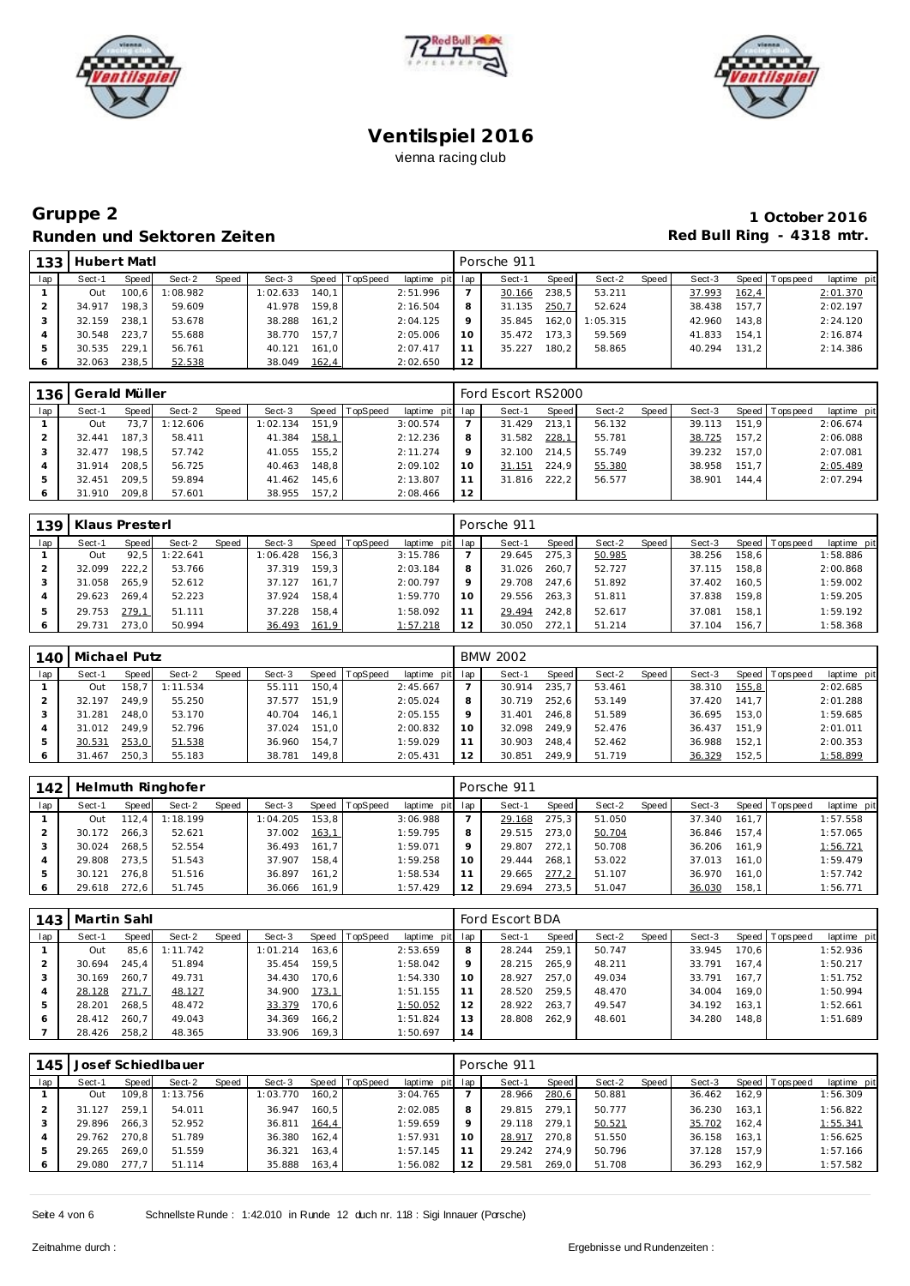





| 133 | Hubert Matl |       |          |       |          |       |          |                 |    | Porsche 911 |       |          |       |        |       |                 |             |
|-----|-------------|-------|----------|-------|----------|-------|----------|-----------------|----|-------------|-------|----------|-------|--------|-------|-----------------|-------------|
| lap | Sect-1      | Speed | Sect-2   | Speed | Sect-3   | Speed | TopSpeed | laptime pit lap |    | Sect-1      | Speed | Sect-2   | Speed | Sect-3 |       | Speed Tops peed | laptime pit |
|     | Out         | 100.6 | 1:08.982 |       | 1:02.633 | 140,1 |          | 2:51.996        |    | 30.166      | 238,5 | 53.211   |       | 37.993 | 162,4 |                 | 2:01.370    |
|     | 34.917      | 198.3 | 59.609   |       | 41.978   | 159.8 |          | 2:16.504        | 8  | 31.135      | 250,7 | 52.624   |       | 38.438 | 157.7 |                 | 2:02.197    |
| 3   | 32.159      | 238.1 | 53.678   |       | 38.288   | 161,2 |          | 2:04.125        | 9  | 35.845      | 162.0 | 1:05.315 |       | 42.960 | 143.8 |                 | 2:24.120    |
|     | 30.548      | 223.7 | 55.688   |       | 38.770   | 157.7 |          | 2:05.006        | 10 | 35.472      | 173.3 | 59.569   |       | 41.833 | 154.1 |                 | 2:16.874    |
| .5  | 30.535      | 229.1 | 56.761   |       | 40.121   | 161.0 |          | 2:07.417        |    | 35.227      | 180.2 | 58.865   |       | 40.294 | 131.2 |                 | 2:14.386    |
| 6   | 32.063      | 238.5 | 52.538   |       | 38.049   | 162,4 |          | 2:02.650        | 12 |             |       |          |       |        |       |                 |             |

| 136     | Gerald Müller |        |          |       |          |       |          |                 |    | Ford Escort RS2000 |       |        |       |        |       |                 |             |
|---------|---------------|--------|----------|-------|----------|-------|----------|-----------------|----|--------------------|-------|--------|-------|--------|-------|-----------------|-------------|
| lap     | Sect-1        | Speed  | Sect-2   | Speed | Sect-3   | Speed | TopSpeed | laptime pit lap |    | Sect-1             | Speed | Sect-2 | Speed | Sect-3 |       | Speed Tops peed | laptime pit |
|         | Out           | 73.7   | 1:12.606 |       | : 02.134 | 151.9 |          | 3:00.574        |    | 31.429             | 213.1 | 56.132 |       | 39.113 | 151.9 |                 | 2:06.674    |
|         | 32.441        | 187.3  | 58.411   |       | 41.384   | 158,1 |          | 2:12.236        | 8  | 31.582             | 228,1 | 55.781 |       | 38.725 | 157.2 |                 | 2:06.088    |
|         | 32.477        | 198.51 | 57.742   |       | 41.055   | 155.2 |          | 2:11.274        |    | 32.100             | 214.5 | 55.749 |       | 39.232 | 157.0 |                 | 2:07.081    |
|         | 31.914        | 208.5  | 56.725   |       | 40.463   | 148.8 |          | 2:09.102        |    | 31.151             | 224,9 | 55.380 |       | 38.958 | 151.7 |                 | 2:05.489    |
| 5       | 32.451        | 209.5  | 59.894   |       | 41.462   | 145.6 |          | 2:13.807        |    | 31.816             | 222.2 | 56.577 |       | 38.901 | 144.4 |                 | 2:07.294    |
| $\circ$ | 31.910        | 209.8  | 57.601   |       | 38.955   | 157.2 |          | 2:08.466        | 12 |                    |       |        |       |        |       |                 |             |

| 139 | Klaus Presterl |       |          |       |          |       |                |                 |    | Porsche 911 |       |        |       |        |       |                 |             |
|-----|----------------|-------|----------|-------|----------|-------|----------------|-----------------|----|-------------|-------|--------|-------|--------|-------|-----------------|-------------|
| lap | Sect-1         | Speed | Sect-2   | Speed | Sect-3   |       | Speed TopSpeed | laptime pit lap |    | Sect-1      | Speed | Sect-2 | Speed | Sect-3 |       | Speed Tops peed | laptime pit |
|     | Out            | 92.5  | 1:22.641 |       | 1:06.428 | 156.3 |                | 3:15.786        |    | 29.645      | 275.3 | 50.985 |       | 38.256 | 158.6 |                 | 1:58.886    |
|     | 32.099         | 222.2 | 53.766   |       | 37.319   | 159.3 |                | 2:03.184        | 8  | 31.026      | 260.7 | 52.727 |       | 37.115 | 158.8 |                 | 2:00.868    |
|     | 31.058         | 265.9 | 52.612   |       | 37.127   | 161.7 |                | 2:00.797        |    | 29.708      | 247.6 | 51.892 |       | 37.402 | 160.5 |                 | 1:59.002    |
|     | 29.623         | 269.4 | 52.223   |       | 37.924   | 158.4 |                | 1:59.770        | 10 | 29.556      | 263.3 | 51.811 |       | 37.838 | 159.8 |                 | 1:59.205    |
|     | 29.753         | 279.1 | 51.111   |       | 37.228   | 158.4 |                | 1:58.092        |    | 29.494      | 242.8 | 52.617 |       | 37.081 | 158.1 |                 | 1:59.192    |
|     | 29.731         | 273.0 | 50.994   |       | 36.493   | 161,9 |                | 1:57.218        | 12 | 30.050      | 272.1 | 51.214 |       | 37.104 | 156.7 |                 | 1:58.368    |

|     | 140 Michael Putz |       |          |       |        |       |                  |                 |    | <b>BMW 2002</b> |         |        |         |        |         |                 |             |
|-----|------------------|-------|----------|-------|--------|-------|------------------|-----------------|----|-----------------|---------|--------|---------|--------|---------|-----------------|-------------|
| lap | Sect-1           | Speed | Sect-2   | Speed | Sect-3 |       | Speed   TopSpeed | laptime pit lap |    | Sect-1          | Speed I | Sect-2 | Speed I | Sect-3 |         | Speed Tops peed | laptime pit |
|     | Out              | 158.7 | 1:11.534 |       | 55.111 | 150.4 |                  | 2:45.667        |    | 30.914          | 235.7   | 53.461 |         | 38.310 | 155,8   |                 | 2:02.685    |
|     | 32.197           | 249.9 | 55.250   |       | 37.577 | 151.9 |                  | 2:05.024        |    | 30.719          | 252.6   | 53.149 |         | 37.420 | 141.7   |                 | 2:01.288    |
|     | 31.281           | 248.0 | 53.170   |       | 40.704 | 146.1 |                  | 2:05.155        |    | 31.401          | 246.8   | 51.589 |         | 36.695 | 153.0 l |                 | 1:59.685    |
|     | 31.012           | 249.9 | 52.796   |       | 37.024 | 151.0 |                  | 2:00.832        |    | 32.098          | 249.9   | 52.476 |         | 36.437 | 151.9   |                 | 2:01.011    |
| 5   | 30.531           | 253,0 | 51.538   |       | 36.960 | 154.7 |                  | 1:59.029        |    | 30.903          | 248.4   | 52.462 |         | 36.988 | 152.1   |                 | 2:00.353    |
| 6   | 31.467           | 250.3 | 55.183   |       | 38.781 | 149.8 |                  | 2:05.431        | 12 | 30.851          | 249.9   | 51.719 |         | 36.329 | 152,5   |                 | 1:58.899    |

| 142 |        |           | Helmuth Ringhofer |       |          |       |                 |                 |    | Porsche 911 |       |        |       |        |       |                |             |
|-----|--------|-----------|-------------------|-------|----------|-------|-----------------|-----------------|----|-------------|-------|--------|-------|--------|-------|----------------|-------------|
| lap | Sect-1 | Speed     | Sect-2            | Speed | Sect-3   | Speed | <b>TopSpeed</b> | laptime pit lap |    | Sect-1      | Speed | Sect-2 | Speed | Sect-3 |       | Speed Topspeed | laptime pit |
|     | Out    | $112.4$ I | 1:18.199          |       | 1:04.205 | 153.8 |                 | 3:06.988        |    | 29.168      | 275.3 | 51.050 |       | 37.340 | 161.7 |                | 1:57.558    |
|     | 30.172 | 266.3     | 52.621            |       | 37.002   | 163,1 |                 | 1:59.795        | 8  | 29.515      | 273.0 | 50.704 |       | 36.846 | 157.4 |                | 1:57.065    |
|     | 30.024 | 268,5     | 52.554            |       | 36.493   | 161.7 |                 | 1:59.071        |    | 29.807      | 272.1 | 50.708 |       | 36.206 | 161.9 |                | 1:56.721    |
|     | 29.808 | 273.5     | 51.543            |       | 37.907   | 158.4 |                 | 1:59.258        | 10 | 29.444      | 268.1 | 53.022 |       | 37.013 | 161.0 |                | 1:59.479    |
|     | 30.121 | 276.8     | 51.516            |       | 36.897   | 161.2 |                 | 1:58.534        |    | 29.665      | 277,2 | 51.107 |       | 36.970 | 161.0 |                | 1:57.742    |
|     | 29.618 | 272.6     | 51.745            |       | 36.066   | 161.9 |                 | 1:57.429        | 12 | 29.694      | 273,5 | 51.047 |       | 36.030 | 158.1 |                | 1:56.771    |

| 143 | Martin Sahl |       |          |       |          |       |                |                 |         | Ford Escort BDA |       |        |       |        |       |                 |             |
|-----|-------------|-------|----------|-------|----------|-------|----------------|-----------------|---------|-----------------|-------|--------|-------|--------|-------|-----------------|-------------|
| lap | Sect-1      | Speed | Sect-2   | Speed | Sect-3   |       | Speed TopSpeed | laptime pit lap |         | Sect-1          | Speed | Sect-2 | Speed | Sect-3 |       | Speed Tops peed | laptime pit |
|     | Out         | 85.6  | 1:11.742 |       | 1:01.214 | 163.6 |                | 2:53.659        | 8       | 28.244          | 259.1 | 50.747 |       | 33.945 | 170.6 |                 | 1:52.936    |
|     | 30.694      | 245.4 | 51.894   |       | 35.454   | 159.5 |                | 1:58.042        | $\circ$ | 28.215          | 265.9 | 48.211 |       | 33.791 | 167.4 |                 | 1:50.217    |
|     | 30.169      | 260.7 | 49.731   |       | 34.430   | 170.6 |                | 1:54.330        | 10      | 28.927          | 257.0 | 49.034 |       | 33.791 | 167.7 |                 | 1:51.752    |
|     | 28.128      | 271,7 | 48.127   |       | 34.900   | 173,1 |                | 1:51.155        |         | 28.520          | 259.5 | 48.470 |       | 34.004 | 169.0 |                 | 1:50.994    |
|     | 28.201      | 268.5 | 48.472   |       | 33.379   | 170,6 |                | 1:50.052        | 12      | 28.922          | 263.7 | 49.547 |       | 34.192 | 163.1 |                 | 1:52.661    |
| 6   | 28.412      | 260.7 | 49.043   |       | 34.369   | 166.2 |                | 1:51.824        | 13      | 28.808          | 262.9 | 48.601 |       | 34.280 | 148.8 |                 | 1:51.689    |
|     | 28.426      | 258.2 | 48.365   |       | 33.906   | 169.3 |                | 1:50.697        | 14      |                 |       |        |       |        |       |                 |             |

| 145 |        |         | Josef Schied Ibauer |       |          |        |                |             |     | Porsche 911 |       |        |       |        |       |                 |             |
|-----|--------|---------|---------------------|-------|----------|--------|----------------|-------------|-----|-------------|-------|--------|-------|--------|-------|-----------------|-------------|
| lap | Sect-1 | Speed   | Sect-2              | Speed | Sect-3   |        | Speed TopSpeed | laptime pit | lap | Sect-1      | Speed | Sect-2 | Speed | Sect-3 |       | Speed Tops peed | laptime pit |
|     | Out    | 109.8 I | 1:13.756            |       | 1:03.770 | 160.2  |                | 3:04.765    |     | 28.966      | 280,6 | 50.881 |       | 36.462 | 162.9 |                 | 1:56.309    |
|     | 31.127 | 259.    | 54.011              |       | 36.947   | 160.5  |                | 2:02.085    | 8   | 29.815      | 279.1 | 50.777 |       | 36.230 | 163.1 |                 | 1:56.822    |
|     | 29.896 | 266.3   | 52.952              |       | 36.811   | 164,4  |                | 1:59.659    | 9   | 29.118      | 279.1 | 50.521 |       | 35.702 | 162,4 |                 | 1:55.341    |
|     | 29.762 | 270.8   | 51.789              |       | 36.380   | 162, 4 |                | 1:57.931    | 10  | 28.917      | 270,8 | 51.550 |       | 36.158 | 163.1 |                 | 1:56.625    |
| 5   | 29.265 | 269.0   | 51.559              |       | 36.321   | 163,4  |                | 1:57.145    |     | 29.242      | 274.9 | 50.796 |       | 37.128 | 157.9 |                 | 1:57.166    |
| 6   | 29.080 | 277.7   | 51.114              |       | 35.888   | 163,4  |                | 1:56.082    | 12  | 29.581      | 269,0 | 51.708 |       | 36.293 | 162,9 |                 | 1:57.582    |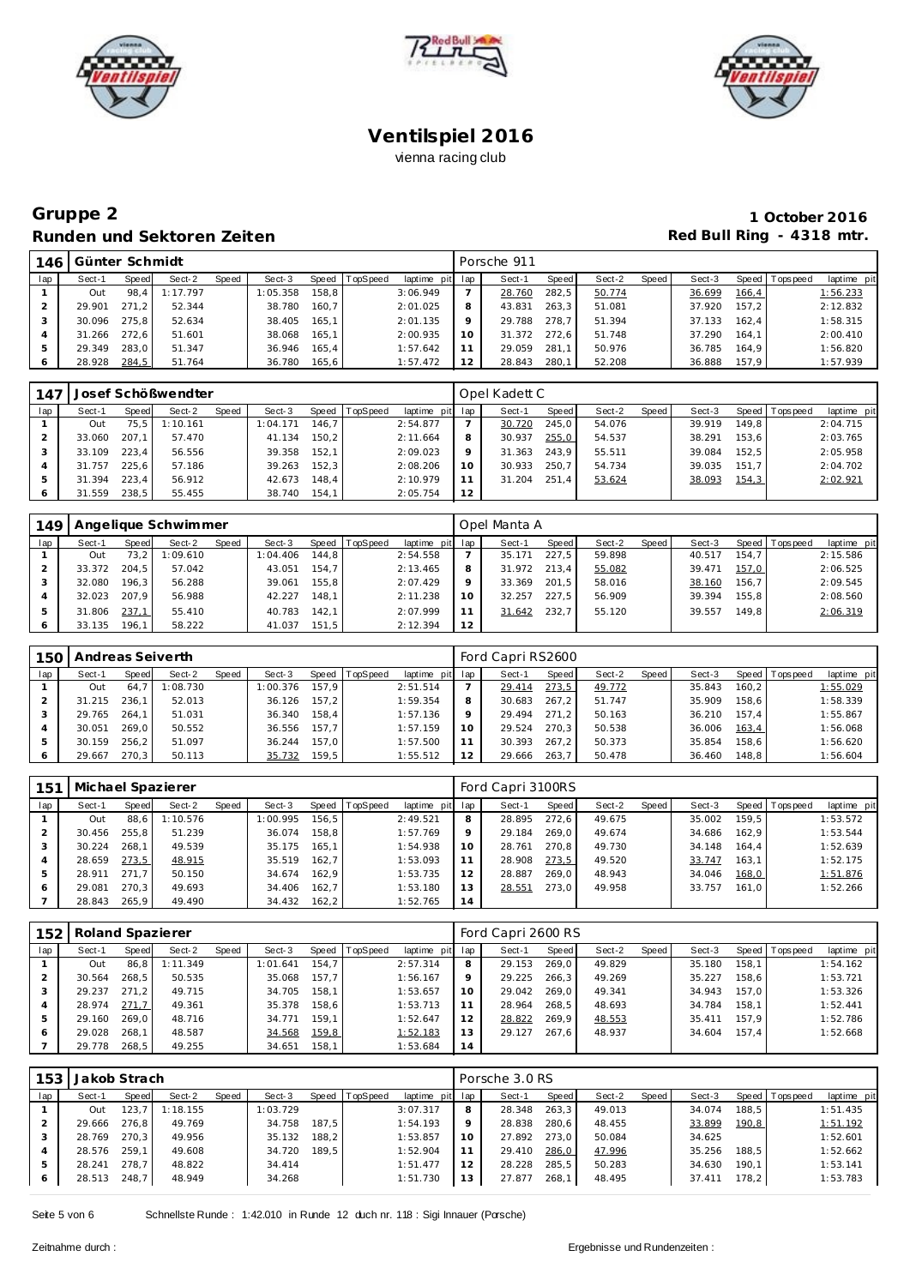





| 146 | Günter Schmidt |       |          |       |          |        |                |                 |         | Porsche 911 |       |        |       |        |       |                 |             |
|-----|----------------|-------|----------|-------|----------|--------|----------------|-----------------|---------|-------------|-------|--------|-------|--------|-------|-----------------|-------------|
| lap | Sect-1         | Speed | Sect-2   | Speed | Sect-3   |        | Speed TopSpeed | laptime pit lap |         | Sect-1      | Speed | Sect-2 | Speed | Sect-3 |       | Speed Tops peed | laptime pit |
|     | Out            | 98.4  | 1:17.797 |       | 1:05.358 | 158.8  |                | 3:06.949        |         | 28.760      | 282,5 | 50.774 |       | 36.699 | 166,4 |                 | 1:56.233    |
|     | 29.901         | 271.2 | 52.344   |       | 38.780   | 160.7  |                | 2:01.025        | 8       | 43.831      | 263.3 | 51.081 |       | 37.920 | 157.2 |                 | 2:12.832    |
|     | 30.096         | 275.8 | 52.634   |       | 38.405   | 165.1  |                | 2:01.135        | $\circ$ | 29.788      | 278.7 | 51.394 |       | 37.133 | 162.4 |                 | 1:58.315    |
|     | 31.266         | 272.6 | 51.601   |       | 38.068   | 165.1  |                | 2:00.935        | 10      | 31.372      | 272.6 | 51.748 |       | 37.290 | 164.1 |                 | 2:00.410    |
| 5   | 29.349         | 283.0 | 51.347   |       | 36.946   | 165.4  |                | 1:57.642        |         | 29.059      | 281.1 | 50.976 |       | 36.785 | 164.9 |                 | 1:56.820    |
|     | 28.928         | 284,5 | 51.764   |       | 36.780   | 165, 6 |                | 1:57.472        | 12      | 28.843      | 280,1 | 52.208 |       | 36.888 | 157,9 |                 | 1:57.939    |

| 147 |        |       | Josef Schößwendter |       |          |       |                |                 |    | Opel Kadett C |       |        |       |        |       |                   |             |
|-----|--------|-------|--------------------|-------|----------|-------|----------------|-----------------|----|---------------|-------|--------|-------|--------|-------|-------------------|-------------|
| lap | Sect-1 | Speed | Sect-2             | Speed | Sect-3   |       | Speed TopSpeed | laptime pit lap |    | Sect-1        | Speed | Sect-2 | Speed | Sect-3 |       | Speed   Tops peed | laptime pit |
|     | Out    | 75.5  | 1:10.161           |       | : 04.171 | 146.7 |                | 2:54.877        |    | 30.720        | 245.0 | 54.076 |       | 39.919 | 149.8 |                   | 2:04.715    |
|     | 33.060 | 207.1 | 57.470             |       | 41.134   | 150.2 |                | 2:11.664        | 8  | 30.937        | 255,0 | 54.537 |       | 38.291 | 153.6 |                   | 2:03.765    |
|     | 33.109 | 223.4 | 56.556             |       | 39.358   | 152.1 |                | 2:09.023        |    | 31.363        | 243.9 | 55.511 |       | 39.084 | 152.5 |                   | 2:05.958    |
|     | 31.757 | 225.6 | 57.186             |       | 39.263   | 152.3 |                | 2:08.206        |    | 30.933        | 250.7 | 54.734 |       | 39.035 | 151.7 |                   | 2:04.702    |
| 5   | 31.394 | 223.4 | 56.912             |       | 42.673   | 148.4 |                | 2:10.979        |    | 31.204        | 251.4 | 53.624 |       | 38.093 | 154,3 |                   | 2:02.921    |
|     | 31.559 | 238.5 | 55.455             |       | 38.740   | 154.1 |                | 2:05.754        | 12 |               |       |        |       |        |       |                   |             |

| 149 |        |       | Angelique Schwimmer |       |          |       |          |                 |    | Opel Manta A |       |        |       |        |       |                 |             |
|-----|--------|-------|---------------------|-------|----------|-------|----------|-----------------|----|--------------|-------|--------|-------|--------|-------|-----------------|-------------|
| lap | Sect-1 | Speed | Sect-2              | Speed | Sect-3   | Speed | TopSpeed | laptime pit lap |    | Sect-1       | Speed | Sect-2 | Speed | Sect-3 |       | Speed Tops peed | laptime pit |
|     | Out    | 73.2  | 1:09.610            |       | : 04.406 | 144.8 |          | 2:54.558        |    | 35.171       | 227.5 | 59.898 |       | 40.517 | 154.7 |                 | 2:15.586    |
|     | 33.372 | 204.5 | 57.042              |       | 43.051   | 154.7 |          | 2:13.465        |    | 31.972       | 213.4 | 55.082 |       | 39.471 | 157,0 |                 | 2:06.525    |
|     | 32.080 | 196.3 | 56.288              |       | 39.061   | 155.8 |          | 2:07.429        |    | 33.369       | 201.5 | 58.016 |       | 38.160 | 156.7 |                 | 2:09.545    |
|     | 32.023 | 207.9 | 56.988              |       | 42.227   | 148.1 |          | 2:11.238        | 10 | 32.257       | 227.5 | 56.909 |       | 39.394 | 155.8 |                 | 2:08.560    |
| 5   | 31.806 | 237,1 | 55.410              |       | 40.783   | 142.1 |          | 2:07.999        |    | 31.642       | 232.7 | 55.120 |       | 39.557 | 149.8 |                 | 2:06.319    |
| O   | 33.135 | 196.1 | 58.222              |       | 41.037   | 151.5 |          | 2:12.394        | 12 |              |       |        |       |        |       |                 |             |

| 150 | Andreas Seiverth |       |          |       |          |       |                |                 | Ford Capri RS2600 |       |        |       |        |       |                |             |
|-----|------------------|-------|----------|-------|----------|-------|----------------|-----------------|-------------------|-------|--------|-------|--------|-------|----------------|-------------|
| lap | Sect-1           | Speed | Sect-2   | Speed | Sect-3   |       | Speed TopSpeed | laptime pit lap | Sect-1            | Speed | Sect-2 | Speed | Sect-3 |       | Speed Topspeed | laptime pit |
|     | Out              | 64.7  | 1:08.730 |       | 1:00.376 | 157.9 |                | 2:51.514        | 29.414            | 273,5 | 49.772 |       | 35.843 | 160.2 |                | 1:55.029    |
|     | 31.215           | 236.1 | 52.013   |       | 36.126   | 157.2 |                | 1:59.354        | 30.683            | 267.2 | 51.747 |       | 35.909 | 158.6 |                | 1:58.339    |
|     | 29.765           | 264.1 | 51.031   |       | 36.340   | 158.4 |                | 1:57.136        | 29.494            | 271.2 | 50.163 |       | 36.210 | 157.4 |                | 1:55.867    |
|     | 30.051           | 269.0 | 50.552   |       | 36.556   | 157.7 |                | 1:57.159        | 29.524            | 270.3 | 50.538 |       | 36.006 | 163,4 |                | 1:56.068    |
|     | 30.159           | 256.2 | 51.097   |       | 36.244   | 157.0 |                | 1:57.500        | 30.393            | 267.2 | 50.373 |       | 35.854 | 158.6 |                | 1:56.620    |
| 6   | 29.667           | 270.3 | 50.113   |       | 35.732   | 159,5 |                | 1:55.512        | 29.666            | 263.7 | 50.478 |       | 36.460 | 148.8 |                | 1:56.604    |

| 151 |        |       | Michael Spazierer |       |          |       |          |                 |         | Ford Capri 3100RS |       |        |       |        |       |                 |             |
|-----|--------|-------|-------------------|-------|----------|-------|----------|-----------------|---------|-------------------|-------|--------|-------|--------|-------|-----------------|-------------|
| lap | Sect-1 | Speed | Sect-2            | Speed | Sect-3   | Speed | TopSpeed | laptime pit lap |         | Sect-1            | Speed | Sect-2 | Speed | Sect-3 |       | Speed Tops peed | laptime pit |
|     | Out    | 88.6  | 1:10.576          |       | 1:00.995 | 156.5 |          | 2:49.521        | 8       | 28.895            | 272.6 | 49.675 |       | 35.002 | 159.5 |                 | 1:53.572    |
|     | 30.456 | 255.8 | 51.239            |       | 36.074   | 158.8 |          | 1:57.769        | $\circ$ | 29.184            | 269.0 | 49.674 |       | 34.686 | 162.9 |                 | 1:53.544    |
|     | 30.224 | 268.1 | 49.539            |       | 35.175   | 165.1 |          | 1:54.938        | 10      | 28.761            | 270.8 | 49.730 |       | 34.148 | 164.4 |                 | 1:52.639    |
|     | 28.659 | 273,5 | 48.915            |       | 35.519   | 162.7 |          | 1:53.093        |         | 28.908            | 273,5 | 49.520 |       | 33.747 | 163.1 |                 | 1:52.175    |
| 5   | 28.911 | 271.7 | 50.150            |       | 34.674   | 162.9 |          | 1:53.735        | 12      | 28.887            | 269.0 | 48.943 |       | 34.046 | 168,0 |                 | 1:51.876    |
|     | 29.081 | 270.3 | 49.693            |       | 34.406   | 162.7 |          | 1:53.180        | 13      | 28.551            | 273.0 | 49.958 |       | 33.757 | 161.0 |                 | 1:52.266    |
|     | 28.843 | 265.9 | 49.490            |       | 34.432   | 162.2 |          | 1:52.765        | 14      |                   |       |        |       |        |       |                 |             |

| 152 | Roland Spazierer |       |          |       |          |       |                |                 |                 | Ford Capri 2600 RS |       |        |       |        |       |                |             |
|-----|------------------|-------|----------|-------|----------|-------|----------------|-----------------|-----------------|--------------------|-------|--------|-------|--------|-------|----------------|-------------|
| lap | Sect-1           | Speed | Sect-2   | Speed | Sect-3   |       | Speed TopSpeed | laptime pit lap |                 | Sect-1             | Speed | Sect-2 | Speed | Sect-3 |       | Speed Topspeed | laptime pit |
|     | Out              | 86.8  | 1:11.349 |       | 1:01.641 | 154.7 |                | 2:57.314        | 8               | 29.153             | 269.0 | 49.829 |       | 35.180 | 158.1 |                | 1:54.162    |
|     | 30.564           | 268.5 | 50.535   |       | 35.068   | 157.7 |                | 1:56.167        | 9               | 29.225             | 266.3 | 49.269 |       | 35.227 | 158.6 |                | 1:53.721    |
|     | 29.237           | 271.2 | 49.715   |       | 34.705   | 158.1 |                | 1:53.657        | 10 <sup>°</sup> | 29.042             | 269.0 | 49.341 |       | 34.943 | 157.0 |                | 1:53.326    |
|     | 28.974           | 271,7 | 49.361   |       | 35.378   | 158.6 |                | 1:53.713        | 11              | 28.964             | 268.5 | 48.693 |       | 34.784 | 158.1 |                | 1:52.441    |
|     | 29.160           | 269.0 | 48.716   |       | 34.771   | 159.1 |                | 1:52.647        | 12              | 28.822             | 269.9 | 48.553 |       | 35.411 | 157.9 |                | 1:52.786    |
|     | 29.028           | 268.1 | 48.587   |       | 34.568   | 159,8 |                | 1:52.183        | 13              | 29.127             | 267.6 | 48.937 |       | 34.604 | 157.4 |                | 1:52.668    |
|     | 29.778           | 268.5 | 49.255   |       | 34.651   | 158.1 |                | 1:53.684        | 14              |                    |       |        |       |        |       |                |             |

| 153 | Jakob Strach |       |          |       |          |       |          |                 |    | Porsche 3.0 RS |         |        |       |        |       |                 |             |  |  |
|-----|--------------|-------|----------|-------|----------|-------|----------|-----------------|----|----------------|---------|--------|-------|--------|-------|-----------------|-------------|--|--|
| lap | Sect-1       | Speed | Sect-2   | Speed | Sect-3   | Speed | TopSpeed | laptime pit lap |    | Sect-1         | Speed I | Sect-2 | Speed | Sect-3 |       | Speed Tops peed | laptime pit |  |  |
|     | Out          | 123.7 | 1:18.155 |       | 1:03.729 |       |          | 3:07.317        | 8  | 28.348         | 263,3   | 49.013 |       | 34.074 | 188.5 |                 | 1:51.435    |  |  |
|     | 29.666       | 276.8 | 49.769   |       | 34.758   | 187.5 |          | 1:54.193        |    | 28.838         | 280,6   | 48.455 |       | 33.899 | 190,8 |                 | 1:51.192    |  |  |
|     | 28.769       | 270.3 | 49.956   |       | 35.132   | 188.2 |          | 1:53.857        | 10 | 27.892         | 273.0   | 50.084 |       | 34.625 |       |                 | 1:52.601    |  |  |
|     | 28.576       | 259.1 | 49.608   |       | 34.720   | 189.5 |          | 1:52.904        |    | 29.410         | 286,0   | 47.996 |       | 35.256 | 188.5 |                 | 1:52.662    |  |  |
|     | 28.241       | 278.7 | 48.822   |       | 34.414   |       |          | 1:51.477        | 12 | 28.228         | 285, 5  | 50.283 |       | 34.630 | 190.1 |                 | 1:53.141    |  |  |
|     | 28.513       | 248,7 | 48.949   |       | 34.268   |       |          | 1:51.730        | 3  | 27.877         | 268,1   | 48.495 |       | 37.411 | 178,2 |                 | 1:53.783    |  |  |